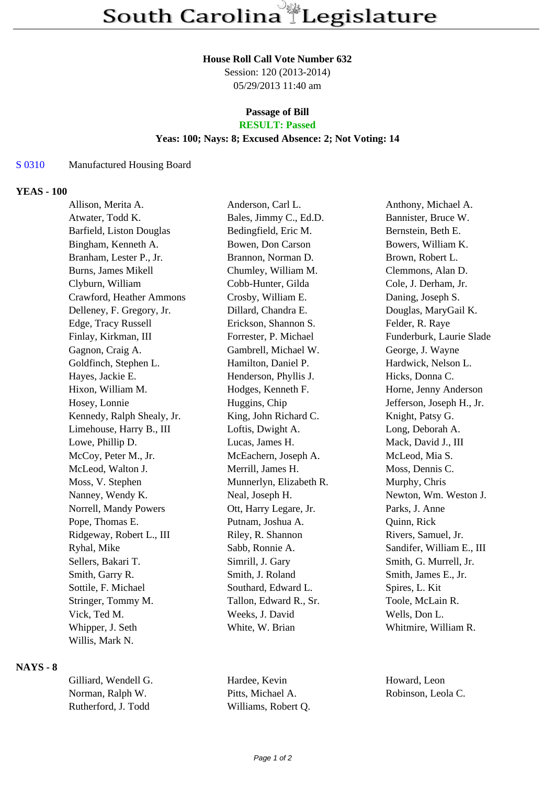#### **House Roll Call Vote Number 632**

Session: 120 (2013-2014) 05/29/2013 11:40 am

#### **Passage of Bill RESULT: Passed**

# **Yeas: 100; Nays: 8; Excused Absence: 2; Not Voting: 14**

### S 0310 Manufactured Housing Board

#### **YEAS - 100**

| Allison, Merita A.         | Anderson, Carl L.       | Anthony, Michael A.       |
|----------------------------|-------------------------|---------------------------|
| Atwater, Todd K.           | Bales, Jimmy C., Ed.D.  | Bannister, Bruce W.       |
| Barfield, Liston Douglas   | Bedingfield, Eric M.    | Bernstein, Beth E.        |
| Bingham, Kenneth A.        | Bowen, Don Carson       | Bowers, William K.        |
| Branham, Lester P., Jr.    | Brannon, Norman D.      | Brown, Robert L.          |
| <b>Burns, James Mikell</b> | Chumley, William M.     | Clemmons, Alan D.         |
| Clyburn, William           | Cobb-Hunter, Gilda      | Cole, J. Derham, Jr.      |
| Crawford, Heather Ammons   | Crosby, William E.      | Daning, Joseph S.         |
| Delleney, F. Gregory, Jr.  | Dillard, Chandra E.     | Douglas, MaryGail K.      |
| Edge, Tracy Russell        | Erickson, Shannon S.    | Felder, R. Raye           |
| Finlay, Kirkman, III       | Forrester, P. Michael   | Funderburk, Laurie Slade  |
| Gagnon, Craig A.           | Gambrell, Michael W.    | George, J. Wayne          |
| Goldfinch, Stephen L.      | Hamilton, Daniel P.     | Hardwick, Nelson L.       |
| Hayes, Jackie E.           | Henderson, Phyllis J.   | Hicks, Donna C.           |
| Hixon, William M.          | Hodges, Kenneth F.      | Horne, Jenny Anderson     |
| Hosey, Lonnie              | Huggins, Chip           | Jefferson, Joseph H., Jr. |
| Kennedy, Ralph Shealy, Jr. | King, John Richard C.   | Knight, Patsy G.          |
| Limehouse, Harry B., III   | Loftis, Dwight A.       | Long, Deborah A.          |
| Lowe, Phillip D.           | Lucas, James H.         | Mack, David J., III       |
| McCoy, Peter M., Jr.       | McEachern, Joseph A.    | McLeod, Mia S.            |
| McLeod, Walton J.          | Merrill, James H.       | Moss, Dennis C.           |
| Moss, V. Stephen           | Munnerlyn, Elizabeth R. | Murphy, Chris             |
| Nanney, Wendy K.           | Neal, Joseph H.         | Newton, Wm. Weston J.     |
| Norrell, Mandy Powers      | Ott, Harry Legare, Jr.  | Parks, J. Anne            |
| Pope, Thomas E.            | Putnam, Joshua A.       | Quinn, Rick               |
| Ridgeway, Robert L., III   | Riley, R. Shannon       | Rivers, Samuel, Jr.       |
| Ryhal, Mike                | Sabb, Ronnie A.         | Sandifer, William E., III |
| Sellers, Bakari T.         | Simrill, J. Gary        | Smith, G. Murrell, Jr.    |
| Smith, Garry R.            | Smith, J. Roland        | Smith, James E., Jr.      |
| Sottile, F. Michael        | Southard, Edward L.     | Spires, L. Kit            |
| Stringer, Tommy M.         | Tallon, Edward R., Sr.  | Toole, McLain R.          |
| Vick, Ted M.               | Weeks, J. David         | Wells, Don L.             |
| Whipper, J. Seth           | White, W. Brian         | Whitmire, William R.      |
| Willis, Mark N.            |                         |                           |

### **NAYS - 8**

| Gilliard, Wendell G. | Hardee, Kevin       | Hoy |
|----------------------|---------------------|-----|
| Norman, Ralph W.     | Pitts. Michael A.   | Rob |
| Rutherford, J. Todd  | Williams, Robert Q. |     |

ward, Leon vinson, Leola C.